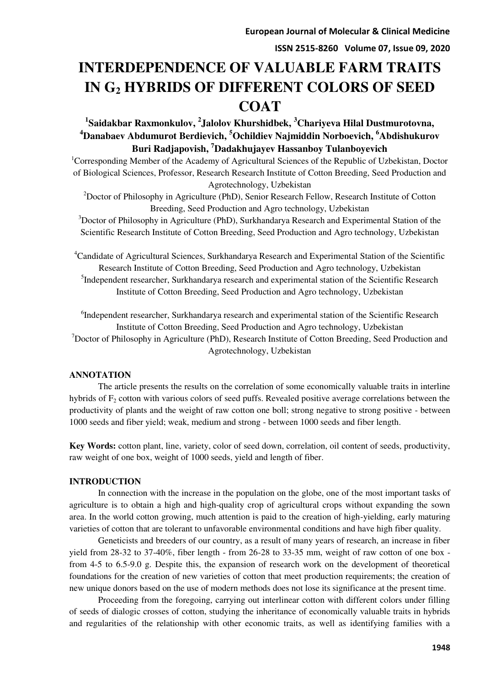**ISSN 2515-8260 Volume 07, Issue 09, 2020** 

# **INTERDEPENDENCE OF VALUABLE FARM TRAITS IN G2 HYBRIDS OF DIFFERENT COLORS OF SEED COAT**

# **1 Saidakbar Raxmonkulov, <sup>2</sup> Jalolov Khurshidbek, <sup>3</sup>Chariyeva Hilal Dustmurotovna, <sup>4</sup>Danabaev Abdumurot Berdievich, <sup>5</sup>Ochildiev Najmiddin Norboevich, <sup>6</sup>Abdishukurov Buri Radjapovish, <sup>7</sup>Dadakhujayev Hassanboy Tulanboyevich**

<sup>1</sup>Corresponding Member of the Academy of Agricultural Sciences of the Republic of Uzbekistan, Doctor of Biological Sciences, Professor, Research Research Institute of Cotton Breeding, Seed Production and Agrotechnology, Uzbekistan

<sup>2</sup>Doctor of Philosophy in Agriculture (PhD), Senior Research Fellow, Research Institute of Cotton Breeding, Seed Production and Agro technology, Uzbekistan

<sup>3</sup>Doctor of Philosophy in Agriculture (PhD), Surkhandarya Research and Experimental Station of the Scientific Research Institute of Cotton Breeding, Seed Production and Agro technology, Uzbekistan

<sup>4</sup>Candidate of Agricultural Sciences, Surkhandarya Research and Experimental Station of the Scientific Research Institute of Cotton Breeding, Seed Production and Agro technology, Uzbekistan <sup>5</sup>Independent researcher, Surkhandarya research and experimental station of the Scientific Research Institute of Cotton Breeding, Seed Production and Agro technology, Uzbekistan

<sup>6</sup>Independent researcher, Surkhandarya research and experimental station of the Scientific Research Institute of Cotton Breeding, Seed Production and Agro technology, Uzbekistan <sup>7</sup>Doctor of Philosophy in Agriculture (PhD), Research Institute of Cotton Breeding, Seed Production and Agrotechnology, Uzbekistan

# **ANNOTATION**

The article presents the results on the correlation of some economically valuable traits in interline hybrids of  $F<sub>2</sub>$  cotton with various colors of seed puffs. Revealed positive average correlations between the productivity of plants and the weight of raw cotton one boll; strong negative to strong positive - between 1000 seeds and fiber yield; weak, medium and strong - between 1000 seeds and fiber length.

**Key Words:** cotton plant, line, variety, color of seed down, correlation, oil content of seeds, productivity, raw weight of one box, weight of 1000 seeds, yield and length of fiber.

# **INTRODUCTION**

In connection with the increase in the population on the globe, one of the most important tasks of agriculture is to obtain a high and high-quality crop of agricultural crops without expanding the sown area. In the world cotton growing, much attention is paid to the creation of high-yielding, early maturing varieties of cotton that are tolerant to unfavorable environmental conditions and have high fiber quality.

Geneticists and breeders of our country, as a result of many years of research, an increase in fiber yield from 28-32 to 37-40%, fiber length - from 26-28 to 33-35 mm, weight of raw cotton of one box from 4-5 to 6.5-9.0 g. Despite this, the expansion of research work on the development of theoretical foundations for the creation of new varieties of cotton that meet production requirements; the creation of new unique donors based on the use of modern methods does not lose its significance at the present time.

Proceeding from the foregoing, carrying out interlinear cotton with different colors under filling of seeds of dialogic crosses of cotton, studying the inheritance of economically valuable traits in hybrids and regularities of the relationship with other economic traits, as well as identifying families with a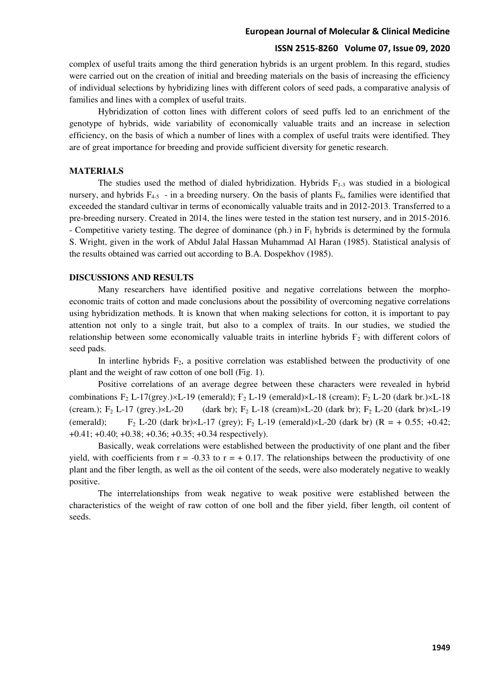#### **European Journal of Molecular & Clinical Medicine**

### **ISSN 2515-8260 Volume 07, Issue 09, 2020**

complex of useful traits among the third generation hybrids is an urgent problem. In this regard, studies were carried out on the creation of initial and breeding materials on the basis of increasing the efficiency of individual selections by hybridizing lines with different colors of seed pads, a comparative analysis of families and lines with a complex of useful traits.

Hybridization of cotton lines with different colors of seed puffs led to an enrichment of the genotype of hybrids, wide variability of economically valuable traits and an increase in selection efficiency, on the basis of which a number of lines with a complex of useful traits were identified. They are of great importance for breeding and provide sufficient diversity for genetic research.

#### **MATERIALS**

The studies used the method of dialed hybridization. Hybrids  $F_{1-3}$  was studied in a biological nursery, and hybrids  $F_{4-5}$  - in a breeding nursery. On the basis of plants  $F_6$ , families were identified that exceeded the standard cultivar in terms of economically valuable traits and in 2012-2013. Transferred to a pre-breeding nursery. Created in 2014, the lines were tested in the station test nursery, and in 2015-2016. - Competitive variety testing. The degree of dominance (ph.) in  $F_1$  hybrids is determined by the formula S. Wright, given in the work of Abdul Jalal Hassan Muhammad Al Haran (1985). Statistical analysis of the results obtained was carried out according to B.A. Dospekhov (1985).

#### **DISCUSSIONS AND RESULTS**

Many researchers have identified positive and negative correlations between the morphoeconomic traits of cotton and made conclusions about the possibility of overcoming negative correlations using hybridization methods. It is known that when making selections for cotton, it is important to pay attention not only to a single trait, but also to a complex of traits. In our studies, we studied the relationship between some economically valuable traits in interline hybrids  $F<sub>2</sub>$  with different colors of seed pads.

In interline hybrids  $F_2$ , a positive correlation was established between the productivity of one plant and the weight of raw cotton of one boll (Fig. 1).

Positive correlations of an average degree between these characters were revealed in hybrid combinations  $F_2$  L-17(grey.) $\times$ L-19 (emerald);  $F_2$  L-19 (emerald) $\times$ L-18 (cream);  $F_2$  L-20 (dark br.) $\times$ L-18 (cream.);  $F_2$  L-17 (grey.) $\times$ L-20 (dark br);  $F_2$  L-18 (cream) $\times$ L-20 (dark br);  $F_2$  L-20 (dark br) $\times$ L-19 (emerald); F<sub>2</sub> L-20 (dark br) $\times$ L-17 (grey); F<sub>2</sub> L-19 (emerald) $\times$ L-20 (dark br) (R = + 0.55; +0.42;  $+0.41$ ;  $+0.40$ ;  $+0.38$ ;  $+0.36$ ;  $+0.35$ ;  $+0.34$  respectively).

Basically, weak correlations were established between the productivity of one plant and the fiber yield, with coefficients from  $r = -0.33$  to  $r = +0.17$ . The relationships between the productivity of one plant and the fiber length, as well as the oil content of the seeds, were also moderately negative to weakly positive.

The interrelationships from weak negative to weak positive were established between the characteristics of the weight of raw cotton of one boll and the fiber yield, fiber length, oil content of seeds.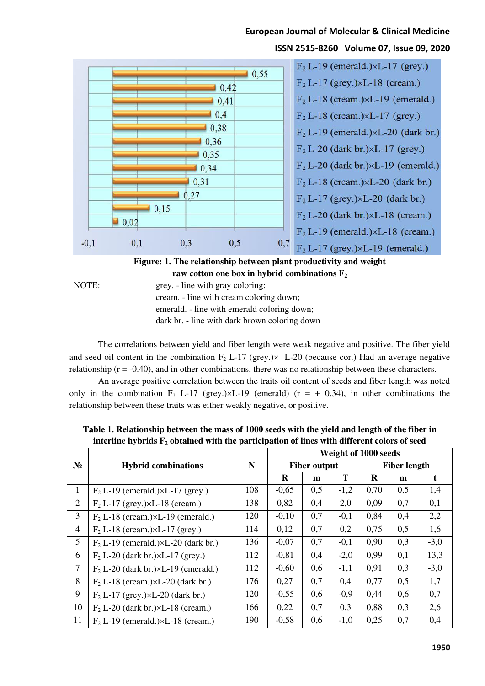# **European Journal of Molecular & Clinical Medicine**

#### $F<sub>2</sub> L-19$  (emerald.) $\times L-17$  (grey.)  $10.55$  $F<sub>2</sub> L-17 (grey.)\times L-18 (cream.)$  $10,42$  $F<sub>2</sub> L-18$  (cream.) $\times L-19$  (emerald.)  $0,41$  $10.4$  $F<sub>2</sub> L-18$  (cream.) $\times L-17$  (grey.)  $0,38$  $F<sub>2</sub> L-19$  (emerald.) $\times L-20$  (dark br.)  $10,36$  $F<sub>2</sub> L-20$  (dark br.) $\times L-17$  (grey.) 0,35  $F<sub>2</sub> L-20$  (dark br.) $\times L-19$  (emerald.)  $10.34$  $F<sub>2</sub> L-18$  (cream.) $\times L-20$  (dark br.) 0,31  $0.27$  $F_2 L-17$  (grey.) $\times L-20$  (dark br.)  $10.15$  $F<sub>2</sub> L-20$  (dark br.) $\times L-18$  (cream.)  $\blacksquare$  0.02  $F<sub>2</sub> L-19$  (emerald.) $\times L-18$  (cream.)  $-0,1$  $0,3$  $F<sub>2</sub> L-17 (grey.)\times L-19 (emerald.)$  $0,1$  $0,5$  $0,7$

# **ISSN 2515-8260 Volume 07, Issue 09, 2020**

**Figure: 1. The relationship between plant productivity and weight raw cotton one box in hybrid combinations F<sup>2</sup>**

NOTE: grey. - line with gray coloring; cream. - line with cream coloring down; emerald. - line with emerald coloring down; dark br. - line with dark brown coloring down

The correlations between yield and fiber length were weak negative and positive. The fiber yield and seed oil content in the combination  $F_2$  L-17 (grey.) $\times$  L-20 (because cor.) Had an average negative relationship ( $r = -0.40$ ), and in other combinations, there was no relationship between these characters.

An average positive correlation between the traits oil content of seeds and fiber length was noted only in the combination  $F_2$  L-17 (grey.) $\times$ L-19 (emerald) ( $r = +0.34$ ), in other combinations the relationship between these traits was either weakly negative, or positive.

|                | <b>Hybrid combinations</b>                     | N   | Weight of 1000 seeds |     |        |                     |     |        |
|----------------|------------------------------------------------|-----|----------------------|-----|--------|---------------------|-----|--------|
| $N_2$          |                                                |     | <b>Fiber output</b>  |     |        | <b>Fiber length</b> |     |        |
|                |                                                |     | R                    | m   | T      | $\bf{R}$            | m   | t      |
| Ι.             | $F2 L-19$ (emerald.) $\times L-17$ (grey.)     | 108 | $-0,65$              | 0,5 | $-1,2$ | 0,70                | 0,5 | 1,4    |
| $\overline{2}$ | $F_2 L-17$ (grey.) $\times L-18$ (cream.)      | 138 | 0,82                 | 0,4 | 2,0    | 0,09                | 0,7 | 0,1    |
| 3              | $F2 L-18$ (cream.) $\times L-19$ (emerald.)    | 120 | $-0,10$              | 0,7 | $-0,1$ | 0,84                | 0,4 | 2,2    |
| $\overline{4}$ | $F2 L-18$ (cream.) $\times L-17$ (grey.)       | 114 | 0,12                 | 0,7 | 0,2    | 0,75                | 0,5 | 1,6    |
| 5              | $F2 L-19$ (emerald.) $\times L-20$ (dark br.)  | 136 | $-0,07$              | 0,7 | $-0,1$ | 0,90                | 0,3 | $-3,0$ |
| 6              | $F2 L-20$ (dark br.) $\times L-17$ (grey.)     | 112 | $-0,81$              | 0,4 | $-2,0$ | 0,99                | 0,1 | 13,3   |
| 7              | $F_2 L-20$ (dark br.) $\times L-19$ (emerald.) | 112 | $-0,60$              | 0,6 | $-1,1$ | 0,91                | 0,3 | $-3,0$ |
| 8              | $F2 L-18$ (cream.) $\times L-20$ (dark br.)    | 176 | 0,27                 | 0,7 | 0,4    | 0,77                | 0,5 | 1,7    |
| 9              | $F_2 L-17$ (grey.)×L-20 (dark br.)             | 120 | $-0,55$              | 0,6 | $-0,9$ | 0,44                | 0,6 | 0,7    |
| 10             | $F2 L-20$ (dark br.) $\times L-18$ (cream.)    | 166 | 0,22                 | 0,7 | 0,3    | 0,88                | 0,3 | 2,6    |
| 11             | $F2 L-19$ (emerald.) $\times L-18$ (cream.)    | 190 | $-0,58$              | 0,6 | $-1,0$ | 0,25                | 0,7 | 0,4    |

**Table 1. Relationship between the mass of 1000 seeds with the yield and length of the fiber in interline hybrids F2 obtained with the participation of lines with different colors of seed**